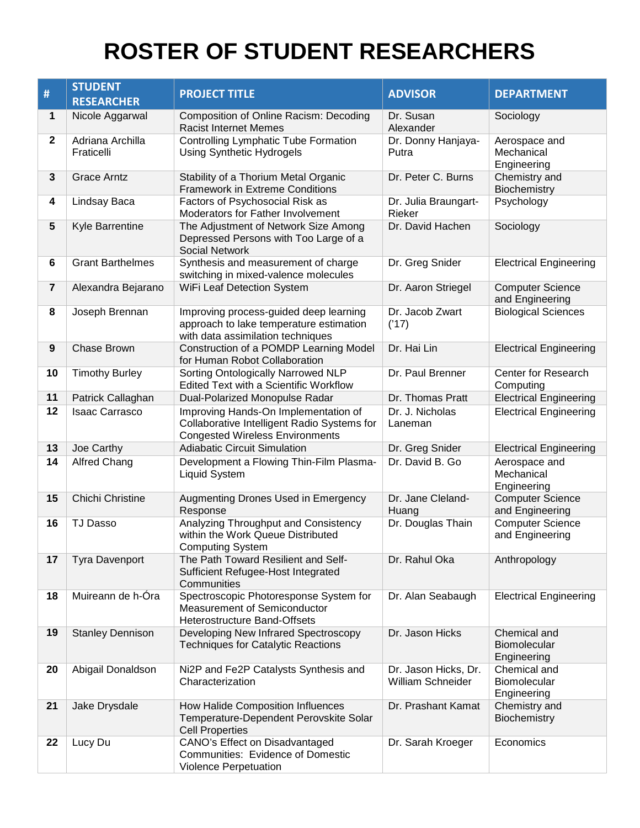## **ROSTER OF STUDENT RESEARCHERS**

|                         | <b>STUDENT</b>                 |                                                                                                                               |                                           |                                             |
|-------------------------|--------------------------------|-------------------------------------------------------------------------------------------------------------------------------|-------------------------------------------|---------------------------------------------|
| #                       | <b>RESEARCHER</b>              | <b>PROJECT TITLE</b>                                                                                                          | <b>ADVISOR</b>                            | <b>DEPARTMENT</b>                           |
| 1                       | Nicole Aggarwal                | <b>Composition of Online Racism: Decoding</b><br><b>Racist Internet Memes</b>                                                 | Dr. Susan<br>Alexander                    | Sociology                                   |
| $\mathbf 2$             | Adriana Archilla<br>Fraticelli | <b>Controlling Lymphatic Tube Formation</b><br><b>Using Synthetic Hydrogels</b>                                               | Dr. Donny Hanjaya-<br>Putra               | Aerospace and<br>Mechanical<br>Engineering  |
| 3                       | <b>Grace Arntz</b>             | Stability of a Thorium Metal Organic<br><b>Framework in Extreme Conditions</b>                                                | Dr. Peter C. Burns                        | Chemistry and<br>Biochemistry               |
| 4                       | Lindsay Baca                   | Factors of Psychosocial Risk as<br>Moderators for Father Involvement                                                          | Dr. Julia Braungart-<br>Rieker            | Psychology                                  |
| 5                       | Kyle Barrentine                | The Adjustment of Network Size Among<br>Depressed Persons with Too Large of a<br><b>Social Network</b>                        | Dr. David Hachen                          | Sociology                                   |
| 6                       | <b>Grant Barthelmes</b>        | Synthesis and measurement of charge<br>switching in mixed-valence molecules                                                   | Dr. Greg Snider                           | <b>Electrical Engineering</b>               |
| $\overline{\mathbf{7}}$ | Alexandra Bejarano             | WiFi Leaf Detection System                                                                                                    | Dr. Aaron Striegel                        | <b>Computer Science</b><br>and Engineering  |
| 8                       | Joseph Brennan                 | Improving process-guided deep learning<br>approach to lake temperature estimation<br>with data assimilation techniques        | Dr. Jacob Zwart<br>('17)                  | <b>Biological Sciences</b>                  |
| 9                       | Chase Brown                    | Construction of a POMDP Learning Model<br>for Human Robot Collaboration                                                       | Dr. Hai Lin                               | <b>Electrical Engineering</b>               |
| 10                      | <b>Timothy Burley</b>          | Sorting Ontologically Narrowed NLP<br>Edited Text with a Scientific Workflow                                                  | Dr. Paul Brenner                          | Center for Research<br>Computing            |
| 11                      | Patrick Callaghan              | Dual-Polarized Monopulse Radar                                                                                                | Dr. Thomas Pratt                          | <b>Electrical Engineering</b>               |
| 12                      | <b>Isaac Carrasco</b>          | Improving Hands-On Implementation of<br>Collaborative Intelligent Radio Systems for<br><b>Congested Wireless Environments</b> | Dr. J. Nicholas<br>Laneman                | <b>Electrical Engineering</b>               |
| 13                      | Joe Carthy                     | <b>Adiabatic Circuit Simulation</b>                                                                                           | Dr. Greg Snider                           | <b>Electrical Engineering</b>               |
| 14                      | <b>Alfred Chang</b>            | Development a Flowing Thin-Film Plasma-<br><b>Liquid System</b>                                                               | Dr. David B. Go                           | Aerospace and<br>Mechanical<br>Engineering  |
| 15                      | Chichi Christine               | Augmenting Drones Used in Emergency<br>Response                                                                               | Dr. Jane Cleland-<br>Huang                | <b>Computer Science</b><br>and Engineering  |
| 16                      | <b>TJ Dasso</b>                | Analyzing Throughput and Consistency<br>within the Work Queue Distributed<br><b>Computing System</b>                          | Dr. Douglas Thain                         | <b>Computer Science</b><br>and Engineering  |
| 17                      | <b>Tyra Davenport</b>          | The Path Toward Resilient and Self-<br>Sufficient Refugee-Host Integrated<br>Communities                                      | Dr. Rahul Oka                             | Anthropology                                |
| 18                      | Muireann de h-Óra              | Spectroscopic Photoresponse System for<br><b>Measurement of Semiconductor</b><br><b>Heterostructure Band-Offsets</b>          | Dr. Alan Seabaugh                         | <b>Electrical Engineering</b>               |
| 19                      | <b>Stanley Dennison</b>        | Developing New Infrared Spectroscopy<br><b>Techniques for Catalytic Reactions</b>                                             | Dr. Jason Hicks                           | Chemical and<br>Biomolecular<br>Engineering |
| 20                      | Abigail Donaldson              | Ni2P and Fe2P Catalysts Synthesis and<br>Characterization                                                                     | Dr. Jason Hicks, Dr.<br>William Schneider | Chemical and<br>Biomolecular<br>Engineering |
| 21                      | Jake Drysdale                  | How Halide Composition Influences<br>Temperature-Dependent Perovskite Solar<br><b>Cell Properties</b>                         | Dr. Prashant Kamat                        | Chemistry and<br>Biochemistry               |
| 22                      | Lucy Du                        | CANO's Effect on Disadvantaged<br><b>Communities: Evidence of Domestic</b><br>Violence Perpetuation                           | Dr. Sarah Kroeger                         | Economics                                   |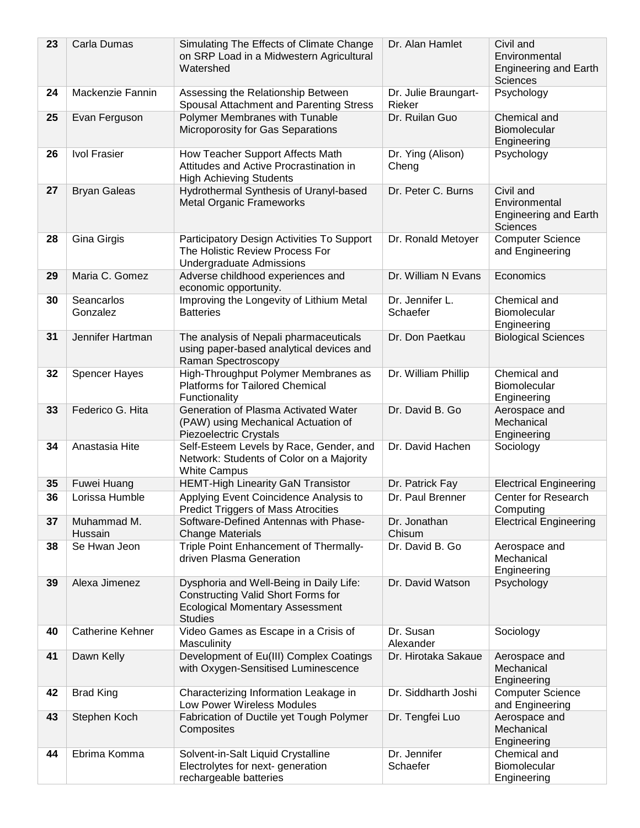| 23 | Carla Dumas            | Simulating The Effects of Climate Change<br>on SRP Load in a Midwestern Agricultural<br>Watershed                                         | Dr. Alan Hamlet                | Civil and<br>Environmental<br><b>Engineering and Earth</b><br>Sciences        |
|----|------------------------|-------------------------------------------------------------------------------------------------------------------------------------------|--------------------------------|-------------------------------------------------------------------------------|
| 24 | Mackenzie Fannin       | Assessing the Relationship Between<br>Spousal Attachment and Parenting Stress                                                             | Dr. Julie Braungart-<br>Rieker | Psychology                                                                    |
| 25 | Evan Ferguson          | Polymer Membranes with Tunable<br>Microporosity for Gas Separations                                                                       | Dr. Ruilan Guo                 | Chemical and<br>Biomolecular<br>Engineering                                   |
| 26 | <b>Ivol Frasier</b>    | How Teacher Support Affects Math<br>Attitudes and Active Procrastination in<br><b>High Achieving Students</b>                             | Dr. Ying (Alison)<br>Cheng     | Psychology                                                                    |
| 27 | <b>Bryan Galeas</b>    | Hydrothermal Synthesis of Uranyl-based<br><b>Metal Organic Frameworks</b>                                                                 | Dr. Peter C. Burns             | Civil and<br>Environmental<br><b>Engineering and Earth</b><br><b>Sciences</b> |
| 28 | Gina Girgis            | Participatory Design Activities To Support<br>The Holistic Review Process For<br><b>Undergraduate Admissions</b>                          | Dr. Ronald Metoyer             | <b>Computer Science</b><br>and Engineering                                    |
| 29 | Maria C. Gomez         | Adverse childhood experiences and<br>economic opportunity.                                                                                | Dr. William N Evans            | Economics                                                                     |
| 30 | Seancarlos<br>Gonzalez | Improving the Longevity of Lithium Metal<br><b>Batteries</b>                                                                              | Dr. Jennifer L.<br>Schaefer    | Chemical and<br>Biomolecular<br>Engineering                                   |
| 31 | Jennifer Hartman       | The analysis of Nepali pharmaceuticals<br>using paper-based analytical devices and<br>Raman Spectroscopy                                  | Dr. Don Paetkau                | <b>Biological Sciences</b>                                                    |
| 32 | <b>Spencer Hayes</b>   | High-Throughput Polymer Membranes as<br><b>Platforms for Tailored Chemical</b><br>Functionality                                           | Dr. William Phillip            | Chemical and<br>Biomolecular<br>Engineering                                   |
| 33 | Federico G. Hita       | Generation of Plasma Activated Water<br>(PAW) using Mechanical Actuation of<br>Piezoelectric Crystals                                     | Dr. David B. Go                | Aerospace and<br>Mechanical<br>Engineering                                    |
| 34 | Anastasia Hite         | Self-Esteem Levels by Race, Gender, and<br>Network: Students of Color on a Majority<br><b>White Campus</b>                                | Dr. David Hachen               | Sociology                                                                     |
| 35 | Fuwei Huang            | <b>HEMT-High Linearity GaN Transistor</b>                                                                                                 | Dr. Patrick Fay                | <b>Electrical Engineering</b>                                                 |
| 36 | Lorissa Humble         | Applying Event Coincidence Analysis to<br><b>Predict Triggers of Mass Atrocities</b>                                                      | Dr. Paul Brenner               | Center for Research<br>Computing                                              |
| 37 | Muhammad M.<br>Hussain | Software-Defined Antennas with Phase-<br><b>Change Materials</b>                                                                          | Dr. Jonathan<br>Chisum         | <b>Electrical Engineering</b>                                                 |
| 38 | Se Hwan Jeon           | Triple Point Enhancement of Thermally-<br>driven Plasma Generation                                                                        | Dr. David B. Go                | Aerospace and<br>Mechanical<br>Engineering                                    |
| 39 | Alexa Jimenez          | Dysphoria and Well-Being in Daily Life:<br>Constructing Valid Short Forms for<br><b>Ecological Momentary Assessment</b><br><b>Studies</b> | Dr. David Watson               | Psychology                                                                    |
| 40 | Catherine Kehner       | Video Games as Escape in a Crisis of<br>Masculinity                                                                                       | Dr. Susan<br>Alexander         | Sociology                                                                     |
| 41 | Dawn Kelly             | Development of Eu(III) Complex Coatings<br>with Oxygen-Sensitised Luminescence                                                            | Dr. Hirotaka Sakaue            | Aerospace and<br>Mechanical<br>Engineering                                    |
| 42 | <b>Brad King</b>       | Characterizing Information Leakage in<br>Low Power Wireless Modules                                                                       | Dr. Siddharth Joshi            | <b>Computer Science</b><br>and Engineering                                    |
| 43 | Stephen Koch           | Fabrication of Ductile yet Tough Polymer<br>Composites                                                                                    | Dr. Tengfei Luo                | Aerospace and<br>Mechanical<br>Engineering                                    |
| 44 | Ebrima Komma           | Solvent-in-Salt Liquid Crystalline<br>Electrolytes for next- generation<br>rechargeable batteries                                         | Dr. Jennifer<br>Schaefer       | Chemical and<br>Biomolecular<br>Engineering                                   |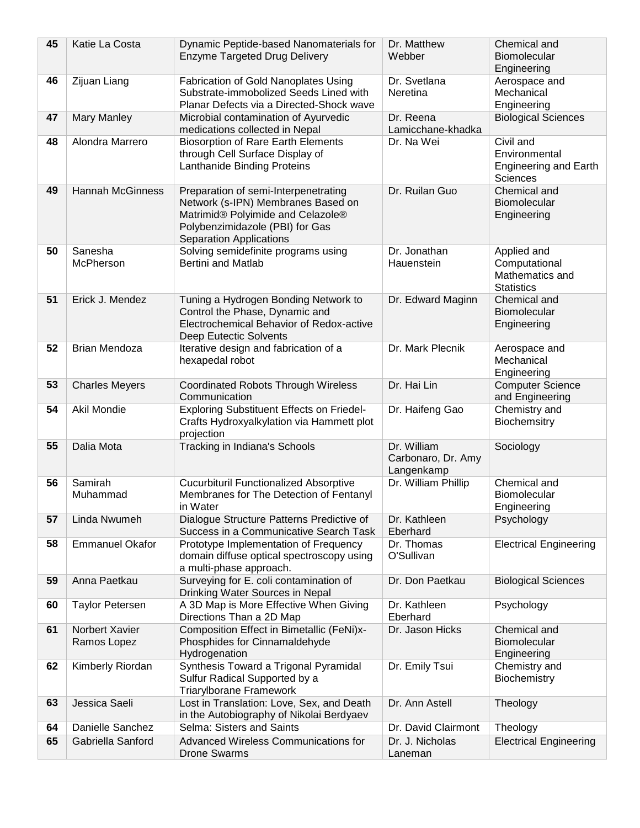| 45 | Katie La Costa                | Dynamic Peptide-based Nanomaterials for<br><b>Enzyme Targeted Drug Delivery</b>                                                                                               | Dr. Matthew<br>Webber                           | Chemical and<br>Biomolecular<br>Engineering                            |
|----|-------------------------------|-------------------------------------------------------------------------------------------------------------------------------------------------------------------------------|-------------------------------------------------|------------------------------------------------------------------------|
| 46 | Zijuan Liang                  | Fabrication of Gold Nanoplates Using<br>Substrate-immobolized Seeds Lined with<br>Planar Defects via a Directed-Shock wave                                                    | Dr. Svetlana<br>Neretina                        | Aerospace and<br>Mechanical<br>Engineering                             |
| 47 | Mary Manley                   | Microbial contamination of Ayurvedic<br>medications collected in Nepal                                                                                                        | Dr. Reena<br>Lamicchane-khadka                  | <b>Biological Sciences</b>                                             |
| 48 | Alondra Marrero               | <b>Biosorption of Rare Earth Elements</b><br>through Cell Surface Display of<br>Lanthanide Binding Proteins                                                                   | Dr. Na Wei                                      | Civil and<br>Environmental<br><b>Engineering and Earth</b><br>Sciences |
| 49 | <b>Hannah McGinness</b>       | Preparation of semi-Interpenetrating<br>Network (s-IPN) Membranes Based on<br>Matrimid® Polyimide and Celazole®<br>Polybenzimidazole (PBI) for Gas<br>Separation Applications | Dr. Ruilan Guo                                  | Chemical and<br>Biomolecular<br>Engineering                            |
| 50 | Sanesha<br>McPherson          | Solving semidefinite programs using<br><b>Bertini and Matlab</b>                                                                                                              | Dr. Jonathan<br>Hauenstein                      | Applied and<br>Computational<br>Mathematics and<br><b>Statistics</b>   |
| 51 | Erick J. Mendez               | Tuning a Hydrogen Bonding Network to<br>Control the Phase, Dynamic and<br>Electrochemical Behavior of Redox-active<br>Deep Eutectic Solvents                                  | Dr. Edward Maginn                               | Chemical and<br>Biomolecular<br>Engineering                            |
| 52 | <b>Brian Mendoza</b>          | Iterative design and fabrication of a<br>hexapedal robot                                                                                                                      | Dr. Mark Plecnik                                | Aerospace and<br>Mechanical<br>Engineering                             |
| 53 | <b>Charles Meyers</b>         | <b>Coordinated Robots Through Wireless</b><br>Communication                                                                                                                   | Dr. Hai Lin                                     | <b>Computer Science</b><br>and Engineering                             |
| 54 | Akil Mondie                   | Exploring Substituent Effects on Friedel-<br>Crafts Hydroxyalkylation via Hammett plot<br>projection                                                                          | Dr. Haifeng Gao                                 | Chemistry and<br>Biochemsitry                                          |
| 55 | Dalia Mota                    | Tracking in Indiana's Schools                                                                                                                                                 | Dr. William<br>Carbonaro, Dr. Amy<br>Langenkamp | Sociology                                                              |
| 56 | Samirah<br>Muhammad           | <b>Cucurbituril Functionalized Absorptive</b><br>Membranes for The Detection of Fentanyl<br>in Water                                                                          | Dr. William Phillip                             | Chemical and<br>Biomolecular<br>Engineering                            |
| 57 | Linda Nwumeh                  | Dialogue Structure Patterns Predictive of<br>Success in a Communicative Search Task                                                                                           | Dr. Kathleen<br>Eberhard                        | Psychology                                                             |
| 58 | <b>Emmanuel Okafor</b>        | Prototype Implementation of Frequency<br>domain diffuse optical spectroscopy using<br>a multi-phase approach.                                                                 | Dr. Thomas<br>O'Sullivan                        | <b>Electrical Engineering</b>                                          |
| 59 | Anna Paetkau                  | Surveying for E. coli contamination of<br>Drinking Water Sources in Nepal                                                                                                     | Dr. Don Paetkau                                 | <b>Biological Sciences</b>                                             |
| 60 | <b>Taylor Petersen</b>        | A 3D Map is More Effective When Giving<br>Directions Than a 2D Map                                                                                                            | Dr. Kathleen<br>Eberhard                        | Psychology                                                             |
| 61 | Norbert Xavier<br>Ramos Lopez | Composition Effect in Bimetallic (FeNi)x-<br>Phosphides for Cinnamaldehyde<br>Hydrogenation                                                                                   | Dr. Jason Hicks                                 | Chemical and<br>Biomolecular<br>Engineering                            |
| 62 | Kimberly Riordan              | Synthesis Toward a Trigonal Pyramidal<br>Sulfur Radical Supported by a<br><b>Triarylborane Framework</b>                                                                      | Dr. Emily Tsui                                  | Chemistry and<br>Biochemistry                                          |
| 63 | Jessica Saeli                 | Lost in Translation: Love, Sex, and Death<br>in the Autobiography of Nikolai Berdyaev                                                                                         | Dr. Ann Astell                                  | Theology                                                               |
| 64 | Danielle Sanchez              | Selma: Sisters and Saints                                                                                                                                                     | Dr. David Clairmont                             | Theology                                                               |
| 65 | Gabriella Sanford             | Advanced Wireless Communications for<br><b>Drone Swarms</b>                                                                                                                   | Dr. J. Nicholas<br>Laneman                      | <b>Electrical Engineering</b>                                          |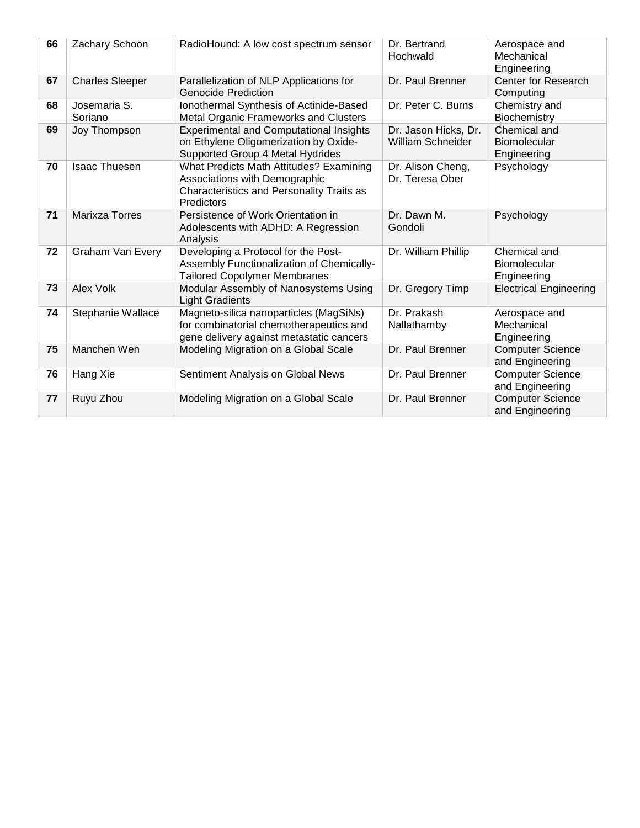| 66 | Zachary Schoon          | RadioHound: A low cost spectrum sensor                                                                                                     | Dr. Bertrand<br>Hochwald                         | Aerospace and<br>Mechanical<br>Engineering  |
|----|-------------------------|--------------------------------------------------------------------------------------------------------------------------------------------|--------------------------------------------------|---------------------------------------------|
| 67 | <b>Charles Sleeper</b>  | Parallelization of NLP Applications for<br><b>Genocide Prediction</b>                                                                      | Dr. Paul Brenner                                 | Center for Research<br>Computing            |
| 68 | Josemaria S.<br>Soriano | Ionothermal Synthesis of Actinide-Based<br><b>Metal Organic Frameworks and Clusters</b>                                                    | Dr. Peter C. Burns                               | Chemistry and<br>Biochemistry               |
| 69 | Joy Thompson            | <b>Experimental and Computational Insights</b><br>on Ethylene Oligomerization by Oxide-<br>Supported Group 4 Metal Hydrides                | Dr. Jason Hicks, Dr.<br><b>William Schneider</b> | Chemical and<br>Biomolecular<br>Engineering |
| 70 | <b>Isaac Thuesen</b>    | What Predicts Math Attitudes? Examining<br>Associations with Demographic<br>Characteristics and Personality Traits as<br><b>Predictors</b> | Dr. Alison Cheng,<br>Dr. Teresa Ober             | Psychology                                  |
| 71 | <b>Marixza Torres</b>   | Persistence of Work Orientation in<br>Adolescents with ADHD: A Regression<br>Analysis                                                      | Dr. Dawn M.<br>Gondoli                           | Psychology                                  |
| 72 | <b>Graham Van Every</b> | Developing a Protocol for the Post-<br>Assembly Functionalization of Chemically-<br><b>Tailored Copolymer Membranes</b>                    | Dr. William Phillip                              | Chemical and<br>Biomolecular<br>Engineering |
| 73 | Alex Volk               | Modular Assembly of Nanosystems Using<br><b>Light Gradients</b>                                                                            | Dr. Gregory Timp                                 | <b>Electrical Engineering</b>               |
| 74 | Stephanie Wallace       | Magneto-silica nanoparticles (MagSiNs)<br>for combinatorial chemotherapeutics and<br>gene delivery against metastatic cancers              | Dr. Prakash<br>Nallathamby                       | Aerospace and<br>Mechanical<br>Engineering  |
| 75 | Manchen Wen             | Modeling Migration on a Global Scale                                                                                                       | Dr. Paul Brenner                                 | <b>Computer Science</b><br>and Engineering  |
| 76 | Hang Xie                | Sentiment Analysis on Global News                                                                                                          | Dr. Paul Brenner                                 | <b>Computer Science</b><br>and Engineering  |
| 77 | Ruyu Zhou               | Modeling Migration on a Global Scale                                                                                                       | Dr. Paul Brenner                                 | <b>Computer Science</b><br>and Engineering  |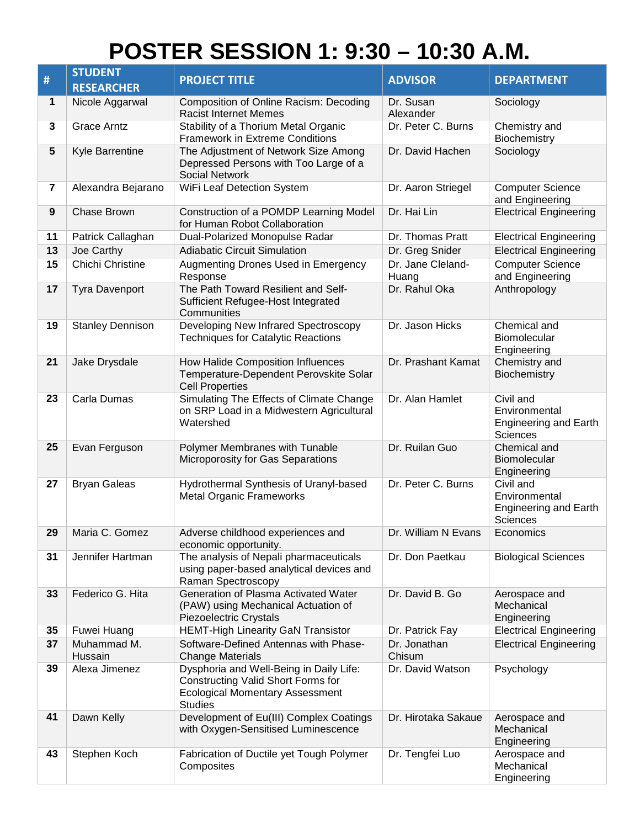## **POSTER SESSION 1: 9:30 – 10:30 A.M.**

|                         | <b>STUDENT</b>          |                                                                                                                                           |                            |                                                                               |
|-------------------------|-------------------------|-------------------------------------------------------------------------------------------------------------------------------------------|----------------------------|-------------------------------------------------------------------------------|
| #                       | <b>RESEARCHER</b>       | <b>PROJECT TITLE</b>                                                                                                                      | <b>ADVISOR</b>             | <b>DEPARTMENT</b>                                                             |
| 1                       | Nicole Aggarwal         | <b>Composition of Online Racism: Decoding</b><br><b>Racist Internet Memes</b>                                                             | Dr. Susan<br>Alexander     | Sociology                                                                     |
| 3                       | <b>Grace Arntz</b>      | Stability of a Thorium Metal Organic<br><b>Framework in Extreme Conditions</b>                                                            | Dr. Peter C. Burns         | Chemistry and<br>Biochemistry                                                 |
| 5                       | Kyle Barrentine         | The Adjustment of Network Size Among<br>Depressed Persons with Too Large of a<br><b>Social Network</b>                                    | Dr. David Hachen           | Sociology                                                                     |
| $\overline{\mathbf{7}}$ | Alexandra Bejarano      | WiFi Leaf Detection System                                                                                                                | Dr. Aaron Striegel         | <b>Computer Science</b><br>and Engineering                                    |
| 9                       | Chase Brown             | Construction of a POMDP Learning Model<br>for Human Robot Collaboration                                                                   | Dr. Hai Lin                | <b>Electrical Engineering</b>                                                 |
| 11                      | Patrick Callaghan       | Dual-Polarized Monopulse Radar                                                                                                            | Dr. Thomas Pratt           | <b>Electrical Engineering</b>                                                 |
| 13                      | Joe Carthy              | <b>Adiabatic Circuit Simulation</b>                                                                                                       | Dr. Greg Snider            | <b>Electrical Engineering</b>                                                 |
| 15                      | Chichi Christine        | Augmenting Drones Used in Emergency<br>Response                                                                                           | Dr. Jane Cleland-<br>Huang | <b>Computer Science</b><br>and Engineering                                    |
| 17                      | <b>Tyra Davenport</b>   | The Path Toward Resilient and Self-<br>Sufficient Refugee-Host Integrated<br>Communities                                                  | Dr. Rahul Oka              | Anthropology                                                                  |
| 19                      | <b>Stanley Dennison</b> | Developing New Infrared Spectroscopy<br><b>Techniques for Catalytic Reactions</b>                                                         | Dr. Jason Hicks            | Chemical and<br>Biomolecular<br>Engineering                                   |
| 21                      | Jake Drysdale           | How Halide Composition Influences<br>Temperature-Dependent Perovskite Solar<br><b>Cell Properties</b>                                     | Dr. Prashant Kamat         | Chemistry and<br>Biochemistry                                                 |
| 23                      | Carla Dumas             | Simulating The Effects of Climate Change<br>on SRP Load in a Midwestern Agricultural<br>Watershed                                         | Dr. Alan Hamlet            | Civil and<br>Environmental<br><b>Engineering and Earth</b><br>Sciences        |
| 25                      | Evan Ferguson           | Polymer Membranes with Tunable<br>Microporosity for Gas Separations                                                                       | Dr. Ruilan Guo             | Chemical and<br>Biomolecular<br>Engineering                                   |
| 27                      | <b>Bryan Galeas</b>     | Hydrothermal Synthesis of Uranyl-based<br><b>Metal Organic Frameworks</b>                                                                 | Dr. Peter C. Burns         | Civil and<br>Environmental<br><b>Engineering and Earth</b><br><b>Sciences</b> |
| 29                      | Maria C. Gomez          | Adverse childhood experiences and<br>economic opportunity.                                                                                | Dr. William N Evans        | Economics                                                                     |
| 31                      | Jennifer Hartman        | The analysis of Nepali pharmaceuticals<br>using paper-based analytical devices and<br>Raman Spectroscopy                                  | Dr. Don Paetkau            | <b>Biological Sciences</b>                                                    |
| 33                      | Federico G. Hita        | Generation of Plasma Activated Water<br>(PAW) using Mechanical Actuation of<br>Piezoelectric Crystals                                     | Dr. David B. Go            | Aerospace and<br>Mechanical<br>Engineering                                    |
| 35                      | Fuwei Huang             | <b>HEMT-High Linearity GaN Transistor</b>                                                                                                 | Dr. Patrick Fay            | <b>Electrical Engineering</b>                                                 |
| 37                      | Muhammad M.<br>Hussain  | Software-Defined Antennas with Phase-<br><b>Change Materials</b>                                                                          | Dr. Jonathan<br>Chisum     | <b>Electrical Engineering</b>                                                 |
| 39                      | Alexa Jimenez           | Dysphoria and Well-Being in Daily Life:<br>Constructing Valid Short Forms for<br><b>Ecological Momentary Assessment</b><br><b>Studies</b> | Dr. David Watson           | Psychology                                                                    |
| 41                      | Dawn Kelly              | Development of Eu(III) Complex Coatings<br>with Oxygen-Sensitised Luminescence                                                            | Dr. Hirotaka Sakaue        | Aerospace and<br>Mechanical<br>Engineering                                    |
| 43                      | Stephen Koch            | Fabrication of Ductile yet Tough Polymer<br>Composites                                                                                    | Dr. Tengfei Luo            | Aerospace and<br>Mechanical<br>Engineering                                    |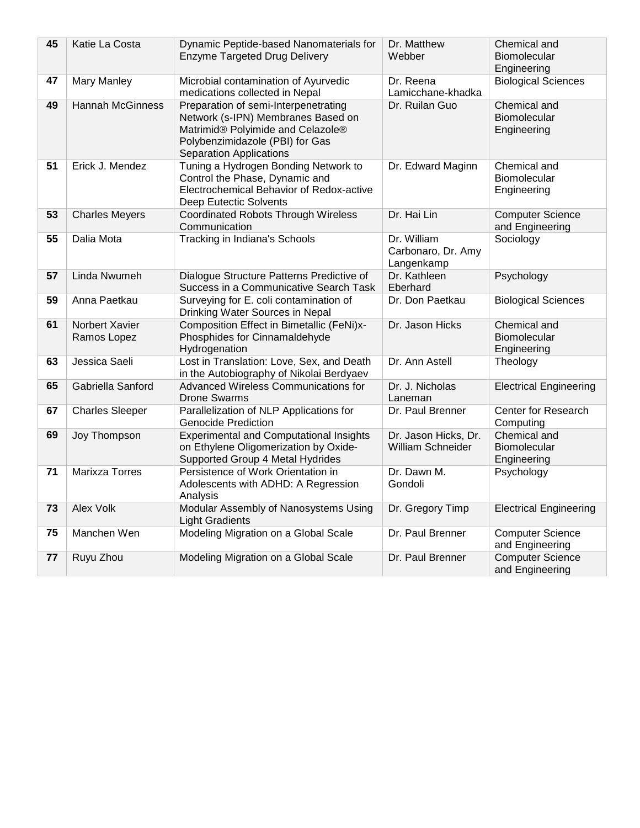| 45 | Katie La Costa                | Dynamic Peptide-based Nanomaterials for<br><b>Enzyme Targeted Drug Delivery</b>                                                                                                      | Dr. Matthew<br>Webber                           | Chemical and<br><b>Biomolecular</b><br>Engineering |
|----|-------------------------------|--------------------------------------------------------------------------------------------------------------------------------------------------------------------------------------|-------------------------------------------------|----------------------------------------------------|
| 47 | <b>Mary Manley</b>            | Microbial contamination of Ayurvedic<br>medications collected in Nepal                                                                                                               | Dr. Reena<br>Lamicchane-khadka                  | <b>Biological Sciences</b>                         |
| 49 | <b>Hannah McGinness</b>       | Preparation of semi-Interpenetrating<br>Network (s-IPN) Membranes Based on<br>Matrimid® Polyimide and Celazole®<br>Polybenzimidazole (PBI) for Gas<br><b>Separation Applications</b> | Dr. Ruilan Guo                                  | Chemical and<br>Biomolecular<br>Engineering        |
| 51 | Erick J. Mendez               | Tuning a Hydrogen Bonding Network to<br>Control the Phase, Dynamic and<br>Electrochemical Behavior of Redox-active<br>Deep Eutectic Solvents                                         | Dr. Edward Maginn                               | Chemical and<br><b>Biomolecular</b><br>Engineering |
| 53 | <b>Charles Meyers</b>         | <b>Coordinated Robots Through Wireless</b><br>Communication                                                                                                                          | Dr. Hai Lin                                     | <b>Computer Science</b><br>and Engineering         |
| 55 | Dalia Mota                    | Tracking in Indiana's Schools                                                                                                                                                        | Dr. William<br>Carbonaro, Dr. Amy<br>Langenkamp | Sociology                                          |
| 57 | Linda Nwumeh                  | Dialogue Structure Patterns Predictive of<br>Success in a Communicative Search Task                                                                                                  | Dr. Kathleen<br>Eberhard                        | Psychology                                         |
| 59 | Anna Paetkau                  | Surveying for E. coli contamination of<br>Drinking Water Sources in Nepal                                                                                                            | Dr. Don Paetkau                                 | <b>Biological Sciences</b>                         |
| 61 | Norbert Xavier<br>Ramos Lopez | Composition Effect in Bimetallic (FeNi)x-<br>Phosphides for Cinnamaldehyde<br>Hydrogenation                                                                                          | Dr. Jason Hicks                                 | Chemical and<br>Biomolecular<br>Engineering        |
| 63 | Jessica Saeli                 | Lost in Translation: Love, Sex, and Death<br>in the Autobiography of Nikolai Berdyaev                                                                                                | Dr. Ann Astell                                  | Theology                                           |
| 65 | Gabriella Sanford             | Advanced Wireless Communications for<br><b>Drone Swarms</b>                                                                                                                          | Dr. J. Nicholas<br>Laneman                      | <b>Electrical Engineering</b>                      |
| 67 | <b>Charles Sleeper</b>        | Parallelization of NLP Applications for<br><b>Genocide Prediction</b>                                                                                                                | Dr. Paul Brenner                                | Center for Research<br>Computing                   |
| 69 | Joy Thompson                  | <b>Experimental and Computational Insights</b><br>on Ethylene Oligomerization by Oxide-<br>Supported Group 4 Metal Hydrides                                                          | Dr. Jason Hicks, Dr.<br>William Schneider       | Chemical and<br>Biomolecular<br>Engineering        |
| 71 | <b>Marixza Torres</b>         | Persistence of Work Orientation in<br>Adolescents with ADHD: A Regression<br>Analysis                                                                                                | Dr. Dawn M.<br>Gondoli                          | Psychology                                         |
| 73 | <b>Alex Volk</b>              | Modular Assembly of Nanosystems Using<br><b>Light Gradients</b>                                                                                                                      | Dr. Gregory Timp                                | <b>Electrical Engineering</b>                      |
| 75 | Manchen Wen                   | Modeling Migration on a Global Scale                                                                                                                                                 | Dr. Paul Brenner                                | <b>Computer Science</b><br>and Engineering         |
| 77 | Ruyu Zhou                     | Modeling Migration on a Global Scale                                                                                                                                                 | Dr. Paul Brenner                                | <b>Computer Science</b><br>and Engineering         |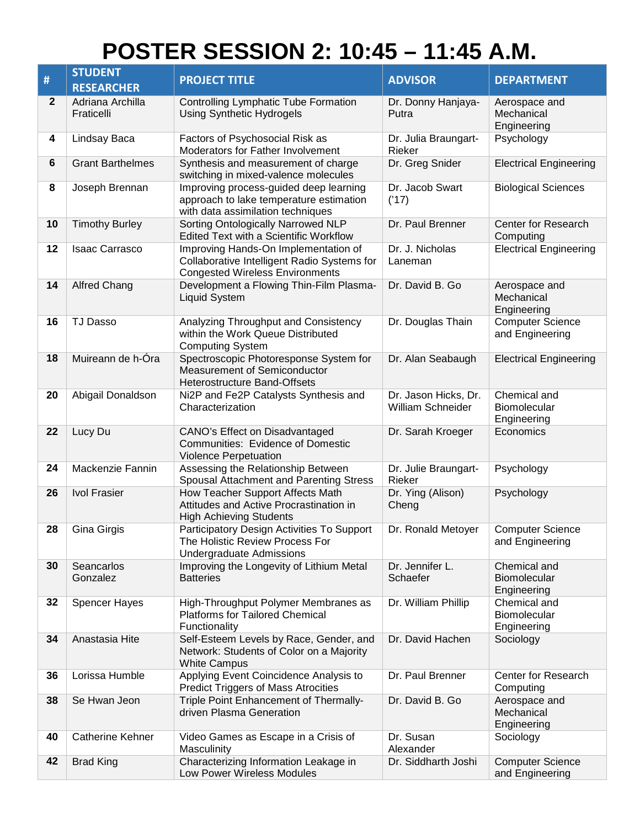## **POSTER SESSION 2: 10:45 – 11:45 A.M.**

|              | <b>STUDENT</b>                 |                                                                                                                               |                                                  |                                             |
|--------------|--------------------------------|-------------------------------------------------------------------------------------------------------------------------------|--------------------------------------------------|---------------------------------------------|
| #            | <b>RESEARCHER</b>              | <b>PROJECT TITLE</b>                                                                                                          | <b>ADVISOR</b>                                   | <b>DEPARTMENT</b>                           |
| $\mathbf{2}$ | Adriana Archilla<br>Fraticelli | <b>Controlling Lymphatic Tube Formation</b><br><b>Using Synthetic Hydrogels</b>                                               | Dr. Donny Hanjaya-<br>Putra                      | Aerospace and<br>Mechanical<br>Engineering  |
| 4            | Lindsay Baca                   | Factors of Psychosocial Risk as<br>Moderators for Father Involvement                                                          | Dr. Julia Braungart-<br>Rieker                   | Psychology                                  |
| 6            | <b>Grant Barthelmes</b>        | Synthesis and measurement of charge<br>switching in mixed-valence molecules                                                   | Dr. Greg Snider                                  | <b>Electrical Engineering</b>               |
| 8            | Joseph Brennan                 | Improving process-guided deep learning<br>approach to lake temperature estimation<br>with data assimilation techniques        | Dr. Jacob Swart<br>('17)                         | <b>Biological Sciences</b>                  |
| 10           | <b>Timothy Burley</b>          | Sorting Ontologically Narrowed NLP<br><b>Edited Text with a Scientific Workflow</b>                                           | Dr. Paul Brenner                                 | Center for Research<br>Computing            |
| 12           | <b>Isaac Carrasco</b>          | Improving Hands-On Implementation of<br>Collaborative Intelligent Radio Systems for<br><b>Congested Wireless Environments</b> | Dr. J. Nicholas<br>Laneman                       | <b>Electrical Engineering</b>               |
| 14           | <b>Alfred Chang</b>            | Development a Flowing Thin-Film Plasma-<br><b>Liquid System</b>                                                               | Dr. David B. Go                                  | Aerospace and<br>Mechanical<br>Engineering  |
| 16           | <b>TJ Dasso</b>                | Analyzing Throughput and Consistency<br>within the Work Queue Distributed<br><b>Computing System</b>                          | Dr. Douglas Thain                                | <b>Computer Science</b><br>and Engineering  |
| 18           | Muireann de h-Óra              | Spectroscopic Photoresponse System for<br><b>Measurement of Semiconductor</b><br><b>Heterostructure Band-Offsets</b>          | Dr. Alan Seabaugh                                | <b>Electrical Engineering</b>               |
| 20           | Abigail Donaldson              | Ni2P and Fe2P Catalysts Synthesis and<br>Characterization                                                                     | Dr. Jason Hicks, Dr.<br><b>William Schneider</b> | Chemical and<br>Biomolecular<br>Engineering |
| 22           | Lucy Du                        | CANO's Effect on Disadvantaged<br><b>Communities: Evidence of Domestic</b><br><b>Violence Perpetuation</b>                    | Dr. Sarah Kroeger                                | Economics                                   |
| 24           | Mackenzie Fannin               | Assessing the Relationship Between<br>Spousal Attachment and Parenting Stress                                                 | Dr. Julie Braungart-<br>Rieker                   | Psychology                                  |
| 26           | <b>Ivol Frasier</b>            | How Teacher Support Affects Math<br>Attitudes and Active Procrastination in<br><b>High Achieving Students</b>                 | Dr. Ying (Alison)<br>Cheng                       | Psychology                                  |
| 28           | Gina Girgis                    | Participatory Design Activities To Support<br>The Holistic Review Process For<br><b>Undergraduate Admissions</b>              | Dr. Ronald Metoyer                               | <b>Computer Science</b><br>and Engineering  |
| 30           | Seancarlos<br>Gonzalez         | Improving the Longevity of Lithium Metal<br><b>Batteries</b>                                                                  | Dr. Jennifer L.<br>Schaefer                      | Chemical and<br>Biomolecular<br>Engineering |
| 32           | <b>Spencer Hayes</b>           | High-Throughput Polymer Membranes as<br><b>Platforms for Tailored Chemical</b><br>Functionality                               | Dr. William Phillip                              | Chemical and<br>Biomolecular<br>Engineering |
| 34           | Anastasia Hite                 | Self-Esteem Levels by Race, Gender, and<br>Network: Students of Color on a Majority<br>White Campus                           | Dr. David Hachen                                 | Sociology                                   |
| 36           | Lorissa Humble                 | Applying Event Coincidence Analysis to<br><b>Predict Triggers of Mass Atrocities</b>                                          | Dr. Paul Brenner                                 | Center for Research<br>Computing            |
| 38           | Se Hwan Jeon                   | Triple Point Enhancement of Thermally-<br>driven Plasma Generation                                                            | Dr. David B. Go                                  | Aerospace and<br>Mechanical<br>Engineering  |
| 40           | <b>Catherine Kehner</b>        | Video Games as Escape in a Crisis of<br>Masculinity                                                                           | Dr. Susan<br>Alexander                           | Sociology                                   |
| 42           | <b>Brad King</b>               | Characterizing Information Leakage in<br>Low Power Wireless Modules                                                           | Dr. Siddharth Joshi                              | <b>Computer Science</b><br>and Engineering  |